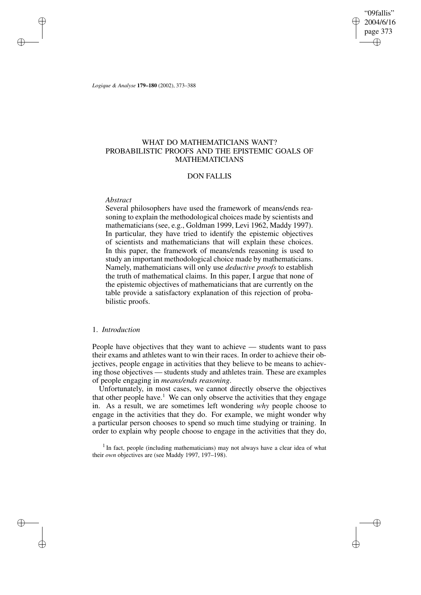"09fallis" 2004/6/16 page 373 ✐ ✐

✐

✐

*Logique & Analyse* **179–180** (2002), 373–388

# WHAT DO MATHEMATICIANS WANT? PROBABILISTIC PROOFS AND THE EPISTEMIC GOALS OF MATHEMATICIANS

# DON FALLIS

## *Abstract*

✐

✐

✐

✐

Several philosophers have used the framework of means/ends reasoning to explain the methodological choices made by scientists and mathematicians (see, e.g., Goldman 1999, Levi 1962, Maddy 1997). In particular, they have tried to identify the epistemic objectives of scientists and mathematicians that will explain these choices. In this paper, the framework of means/ends reasoning is used to study an important methodological choice made by mathematicians. Namely, mathematicians will only use *deductive proofs* to establish the truth of mathematical claims. In this paper, I argue that none of the epistemic objectives of mathematicians that are currently on the table provide a satisfactory explanation of this rejection of probabilistic proofs.

# 1. *Introduction*

People have objectives that they want to achieve — students want to pass their exams and athletes want to win their races. In order to achieve their objectives, people engage in activities that they believe to be means to achieving those objectives — students study and athletes train. These are examples of people engaging in *means/ends reasoning*.

Unfortunately, in most cases, we cannot directly observe the objectives that other people have.<sup>1</sup> We can only observe the activities that they engage in. As a result, we are sometimes left wondering *why* people choose to engage in the activities that they do. For example, we might wonder why a particular person chooses to spend so much time studying or training. In order to explain why people choose to engage in the activities that they do,

<sup>1</sup> In fact, people (including mathematicians) may not always have a clear idea of what their *own* objectives are (see Maddy 1997, 197–198).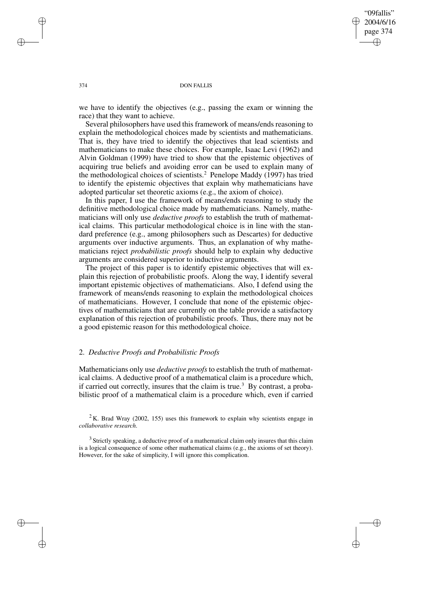"09fallis" 2004/6/16 page 374 ✐ ✐

✐

✐

#### 374 DON FALLIS

we have to identify the objectives (e.g., passing the exam or winning the race) that they want to achieve.

Several philosophers have used this framework of means/ends reasoning to explain the methodological choices made by scientists and mathematicians. That is, they have tried to identify the objectives that lead scientists and mathematicians to make these choices. For example, Isaac Levi (1962) and Alvin Goldman (1999) have tried to show that the epistemic objectives of acquiring true beliefs and avoiding error can be used to explain many of the methodological choices of scientists.<sup>2</sup> Penelope Maddy (1997) has tried to identify the epistemic objectives that explain why mathematicians have adopted particular set theoretic axioms (e.g., the axiom of choice).

In this paper, I use the framework of means/ends reasoning to study the definitive methodological choice made by mathematicians. Namely, mathematicians will only use *deductive proofs* to establish the truth of mathematical claims. This particular methodological choice is in line with the standard preference (e.g., among philosophers such as Descartes) for deductive arguments over inductive arguments. Thus, an explanation of why mathematicians reject *probabilistic proofs* should help to explain why deductive arguments are considered superior to inductive arguments.

The project of this paper is to identify epistemic objectives that will explain this rejection of probabilistic proofs. Along the way, I identify several important epistemic objectives of mathematicians. Also, I defend using the framework of means/ends reasoning to explain the methodological choices of mathematicians. However, I conclude that none of the epistemic objectives of mathematicians that are currently on the table provide a satisfactory explanation of this rejection of probabilistic proofs. Thus, there may not be a good epistemic reason for this methodological choice.

## 2. *Deductive Proofs and Probabilistic Proofs*

Mathematicians only use *deductive proofs* to establish the truth of mathematical claims. A deductive proof of a mathematical claim is a procedure which, if carried out correctly, insures that the claim is true.<sup>3</sup> By contrast, a probabilistic proof of a mathematical claim is a procedure which, even if carried

 $2$ K. Brad Wray (2002, 155) uses this framework to explain why scientists engage in *collaborative research*.

 $3$  Strictly speaking, a deductive proof of a mathematical claim only insures that this claim is a logical consequence of some other mathematical claims (e.g., the axioms of set theory). However, for the sake of simplicity, I will ignore this complication.

✐

✐

✐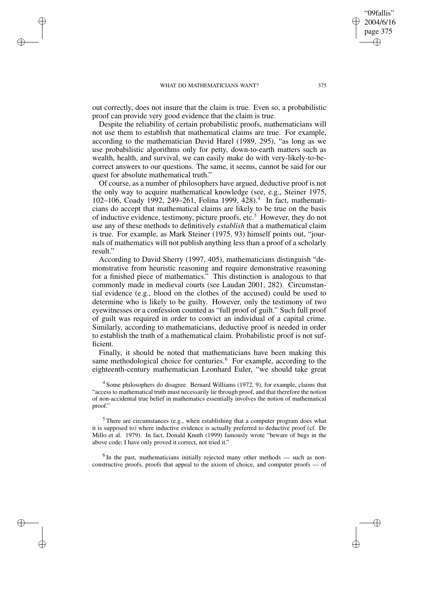✐

✐

✐

✐

out correctly, does not insure that the claim is true. Even so, a probabilistic proof can provide very good evidence that the claim is true.

Despite the reliability of certain probabilistic proofs, mathematicians will not use them to establish that mathematical claims are true. For example, according to the mathematician David Harel (1989, 295), "as long as we use probabilistic algorithms only for petty, down-to-earth matters such as wealth, health, and survival, we can easily make do with very-likely-to-becorrect answers to our questions. The same, it seems, cannot be said for our quest for absolute mathematical truth."

Of course, as a number of philosophers have argued, deductive proof is not the only way to acquire mathematical knowledge (see, e.g., Steiner 1975, 102-106, Coady 1992, 249-261, Folina 1999, 428).<sup>4</sup> In fact, mathematicians do accept that mathematical claims are likely to be true on the basis of inductive evidence, testimony, picture proofs, etc.<sup>5</sup> However, they do not use any of these methods to definitively *establish* that a mathematical claim is true. For example, as Mark Steiner (1975, 93) himself points out, "journals of mathematics will not publish anything less than a proof of a scholarly result."

According to David Sherry (1997, 405), mathematicians distinguish "demonstrative from heuristic reasoning and require demonstrative reasoning for a finished piece of mathematics." This distinction is analogous to that commonly made in medieval courts (see Laudan 2001, 282). Circumstantial evidence (e.g., blood on the clothes of the accused) could be used to determine who is likely to be guilty. However, only the testimony of two eyewitnesses or a confession counted as "full proof of guilt." Such full proof of guilt was required in order to convict an individual of a capital crime. Similarly, according to mathematicians, deductive proof is needed in order to establish the truth of a mathematical claim. Probabilistic proof is not sufficient.

Finally, it should be noted that mathematicians have been making this same methodological choice for centuries.<sup>6</sup> For example, according to the eighteenth-century mathematician Leonhard Euler, "we should take great

<sup>4</sup> Some philosophers do disagree. Bernard Williams (1972, 9), for example, claims that "access to mathematical truth must necessarily lie through proof, and that therefore the notion of non-accidental true belief in mathematics essentially involves the notion of mathematical proof."

<sup>5</sup> There are circumstances (e.g., when establishing that a computer program does what it is supposed to) where inductive evidence is actually preferred to deductive proof (cf. De Millo et al. 1979). In fact, Donald Knuth (1999) famously wrote "beware of bugs in the above code; I have only proved it correct, not tried it."

 $6$ In the past, mathematicians initially rejected many other methods — such as nonconstructive proofs, proofs that appeal to the axiom of choice, and computer proofs — of

"09fallis" 2004/6/16 page 375

✐

✐

✐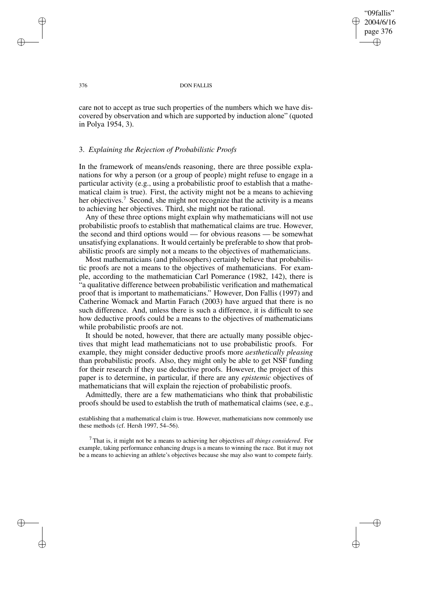"09fallis" 2004/6/16 page 376 ✐ ✐

✐

✐

## 376 DON FALLIS

care not to accept as true such properties of the numbers which we have discovered by observation and which are supported by induction alone" (quoted in Polya 1954, 3).

## 3. *Explaining the Rejection of Probabilistic Proofs*

In the framework of means/ends reasoning, there are three possible explanations for why a person (or a group of people) might refuse to engage in a particular activity (e.g., using a probabilistic proof to establish that a mathematical claim is true). First, the activity might not be a means to achieving her objectives.<sup>7</sup> Second, she might not recognize that the activity is a means to achieving her objectives. Third, she might not be rational.

Any of these three options might explain why mathematicians will not use probabilistic proofs to establish that mathematical claims are true. However, the second and third options would — for obvious reasons — be somewhat unsatisfying explanations. It would certainly be preferable to show that probabilistic proofs are simply not a means to the objectives of mathematicians.

Most mathematicians (and philosophers) certainly believe that probabilistic proofs are not a means to the objectives of mathematicians. For example, according to the mathematician Carl Pomerance (1982, 142), there is "a qualitative difference between probabilistic verification and mathematical proof that is important to mathematicians." However, Don Fallis (1997) and Catherine Womack and Martin Farach (2003) have argued that there is no such difference. And, unless there is such a difference, it is difficult to see how deductive proofs could be a means to the objectives of mathematicians while probabilistic proofs are not.

It should be noted, however, that there are actually many possible objectives that might lead mathematicians not to use probabilistic proofs. For example, they might consider deductive proofs more *aesthetically pleasing* than probabilistic proofs. Also, they might only be able to get NSF funding for their research if they use deductive proofs. However, the project of this paper is to determine, in particular, if there are any *epistemic* objectives of mathematicians that will explain the rejection of probabilistic proofs.

Admittedly, there are a few mathematicians who think that probabilistic proofs should be used to establish the truth of mathematical claims (see, e.g.,

establishing that a mathematical claim is true. However, mathematicians now commonly use these methods (cf. Hersh 1997, 54–56).

<sup>7</sup> That is, it might not be a means to achieving her objectives *all things considered*. For example, taking performance enhancing drugs is a means to winning the race. But it may not be a means to achieving an athlete's objectives because she may also want to compete fairly.

✐

✐

✐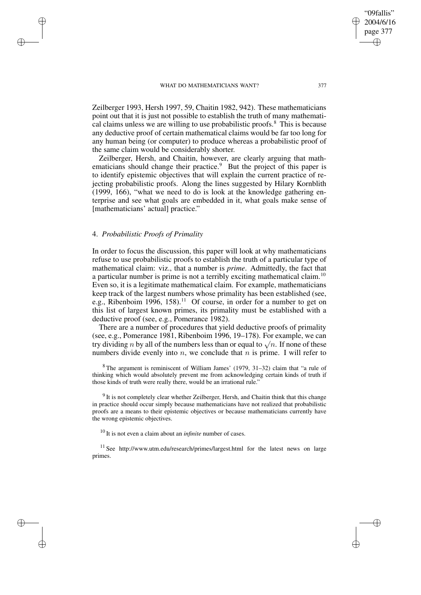Zeilberger 1993, Hersh 1997, 59, Chaitin 1982, 942). These mathematicians point out that it is just not possible to establish the truth of many mathematical claims unless we are willing to use probabilistic proofs.<sup>8</sup> This is because any deductive proof of certain mathematical claims would be far too long for any human being (or computer) to produce whereas a probabilistic proof of the same claim would be considerably shorter.

Zeilberger, Hersh, and Chaitin, however, are clearly arguing that mathematicians should change their practice.<sup>9</sup> But the project of this paper is to identify epistemic objectives that will explain the current practice of rejecting probabilistic proofs. Along the lines suggested by Hilary Kornblith (1999, 166), "what we need to do is look at the knowledge gathering enterprise and see what goals are embedded in it, what goals make sense of [mathematicians' actual] practice."

## 4. *Probabilistic Proofs of Primality*

✐

✐

✐

✐

In order to focus the discussion, this paper will look at why mathematicians refuse to use probabilistic proofs to establish the truth of a particular type of mathematical claim: viz., that a number is *prime*. Admittedly, the fact that a particular number is prime is not a terribly exciting mathematical claim.<sup>10</sup> Even so, it is a legitimate mathematical claim. For example, mathematicians keep track of the largest numbers whose primality has been established (see, e.g., Ribenboim 1996, 158).<sup>11</sup> Of course, in order for a number to get on this list of largest known primes, its primality must be established with a deductive proof (see, e.g., Pomerance 1982).

There are a number of procedures that yield deductive proofs of primality (see, e.g., Pomerance 1981, Ribenboim 1996, 19–178). For example, we can try dividing *n* by all of the numbers less than or equal to  $\sqrt{n}$ . If none of these numbers divide evenly into n, we conclude that n is prime. I will refer to

 $8$ The argument is reminiscent of William James' (1979, 31–32) claim that "a rule of thinking which would absolutely prevent me from acknowledging certain kinds of truth if those kinds of truth were really there, would be an irrational rule."

 $9$  It is not completely clear whether Zeilberger, Hersh, and Chaitin think that this change in practice should occur simply because mathematicians have not realized that probabilistic proofs are a means to their epistemic objectives or because mathematicians currently have the wrong epistemic objectives.

<sup>10</sup> It is not even a claim about an *infinite* number of cases.

<sup>11</sup> See http://www.utm.edu/research/primes/largest.html for the latest news on large primes.

"09fallis" 2004/6/16 page 377

✐

✐

✐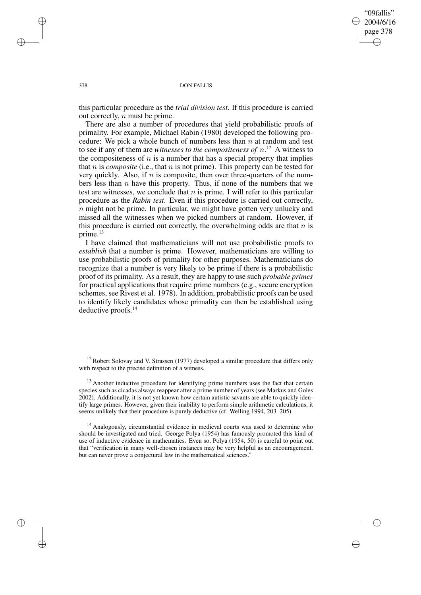✐

✐

## 378 DON FALLIS

this particular procedure as the *trial division test*. If this procedure is carried out correctly,  $n$  must be prime.

There are also a number of procedures that yield probabilistic proofs of primality. For example, Michael Rabin (1980) developed the following procedure: We pick a whole bunch of numbers less than  $n$  at random and test to see if any of them are *witnesses to the compositeness of*  $n$ .<sup>12</sup> A witness to the compositeness of  $n$  is a number that has a special property that implies that  $n$  is *composite* (i.e., that  $n$  is not prime). This property can be tested for very quickly. Also, if  $n$  is composite, then over three-quarters of the numbers less than  $n$  have this property. Thus, if none of the numbers that we test are witnesses, we conclude that  $n$  is prime. I will refer to this particular procedure as the *Rabin test*. Even if this procedure is carried out correctly,  $n$  might not be prime. In particular, we might have gotten very unlucky and missed all the witnesses when we picked numbers at random. However, if this procedure is carried out correctly, the overwhelming odds are that  $n$  is prime.<sup>13</sup>

I have claimed that mathematicians will not use probabilistic proofs to *establish* that a number is prime. However, mathematicians are willing to use probabilistic proofs of primality for other purposes. Mathematicians do recognize that a number is very likely to be prime if there is a probabilistic proof of its primality. As a result, they are happy to use such *probable primes* for practical applications that require prime numbers (e.g., secure encryption schemes, see Rivest et al. 1978). In addition, probabilistic proofs can be used to identify likely candidates whose primality can then be established using deductive proofs.<sup>14</sup>

<sup>14</sup> Analogously, circumstantial evidence in medieval courts was used to determine who should be investigated and tried. George Polya (1954) has famously promoted this kind of use of inductive evidence in mathematics. Even so, Polya (1954, 50) is careful to point out that "verification in many well-chosen instances may be very helpful as an encouragement, but can never prove a conjectural law in the mathematical sciences."

✐

✐

✐

 $12$  Robert Solovay and V. Strassen (1977) developed a similar procedure that differs only with respect to the precise definition of a witness.

<sup>&</sup>lt;sup>13</sup> Another inductive procedure for identifying prime numbers uses the fact that certain species such as cicadas always reappear after a prime number of years (see Markus and Goles 2002). Additionally, it is not yet known how certain autistic savants are able to quickly identify large primes. However, given their inability to perform simple arithmetic calculations, it seems unlikely that their procedure is purely deductive (cf. Welling 1994, 203–205).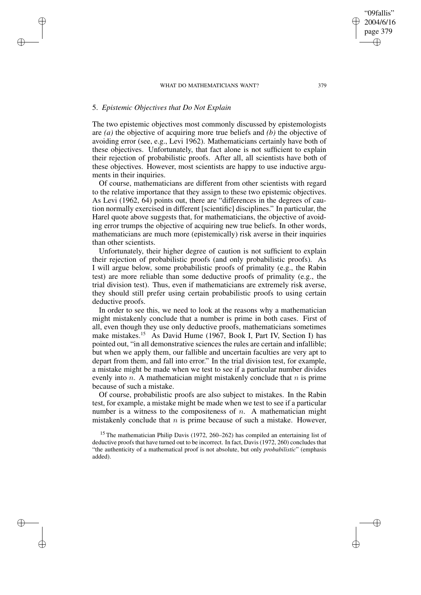# 5. *Epistemic Objectives that Do Not Explain*

✐

✐

✐

✐

The two epistemic objectives most commonly discussed by epistemologists are *(a)* the objective of acquiring more true beliefs and *(b)* the objective of avoiding error (see, e.g., Levi 1962). Mathematicians certainly have both of these objectives. Unfortunately, that fact alone is not sufficient to explain their rejection of probabilistic proofs. After all, all scientists have both of these objectives. However, most scientists are happy to use inductive arguments in their inquiries.

Of course, mathematicians are different from other scientists with regard to the relative importance that they assign to these two epistemic objectives. As Levi (1962, 64) points out, there are "differences in the degrees of caution normally exercised in different [scientific] disciplines." In particular, the Harel quote above suggests that, for mathematicians, the objective of avoiding error trumps the objective of acquiring new true beliefs. In other words, mathematicians are much more (epistemically) risk averse in their inquiries than other scientists.

Unfortunately, their higher degree of caution is not sufficient to explain their rejection of probabilistic proofs (and only probabilistic proofs). As I will argue below, some probabilistic proofs of primality (e.g., the Rabin test) are more reliable than some deductive proofs of primality (e.g., the trial division test). Thus, even if mathematicians are extremely risk averse, they should still prefer using certain probabilistic proofs to using certain deductive proofs.

In order to see this, we need to look at the reasons why a mathematician might mistakenly conclude that a number is prime in both cases. First of all, even though they use only deductive proofs, mathematicians sometimes make mistakes.<sup>15</sup> As David Hume (1967, Book I, Part IV, Section I) has pointed out, "in all demonstrative sciences the rules are certain and infallible; but when we apply them, our fallible and uncertain faculties are very apt to depart from them, and fall into error." In the trial division test, for example, a mistake might be made when we test to see if a particular number divides evenly into  $n$ . A mathematician might mistakenly conclude that  $n$  is prime because of such a mistake.

Of course, probabilistic proofs are also subject to mistakes. In the Rabin test, for example, a mistake might be made when we test to see if a particular number is a witness to the compositeness of  $n$ . A mathematician might mistakenly conclude that  $n$  is prime because of such a mistake. However,

<sup>15</sup> The mathematician Philip Davis (1972, 260–262) has compiled an entertaining list of deductive proofs that have turned out to be incorrect. In fact, Davis (1972, 260) concludes that "the authenticity of a mathematical proof is not absolute, but only *probabilistic*" (emphasis added).

"09fallis" 2004/6/16 page 379

✐

✐

✐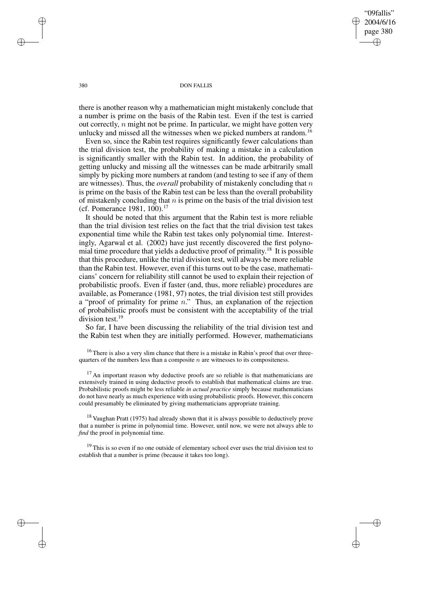"09fallis" 2004/6/16 page 380 ✐ ✐

✐

✐

## 380 DON FALLIS

there is another reason why a mathematician might mistakenly conclude that a number is prime on the basis of the Rabin test. Even if the test is carried out correctly,  $n$  might not be prime. In particular, we might have gotten very unlucky and missed all the witnesses when we picked numbers at random.<sup>16</sup>

Even so, since the Rabin test requires significantly fewer calculations than the trial division test, the probability of making a mistake in a calculation is significantly smaller with the Rabin test. In addition, the probability of getting unlucky and missing all the witnesses can be made arbitrarily small simply by picking more numbers at random (and testing to see if any of them are witnesses). Thus, the *overall* probability of mistakenly concluding that n is prime on the basis of the Rabin test can be less than the overall probability of mistakenly concluding that  $n$  is prime on the basis of the trial division test (cf. Pomerance 1981, 100).<sup>17</sup>

It should be noted that this argument that the Rabin test is more reliable than the trial division test relies on the fact that the trial division test takes exponential time while the Rabin test takes only polynomial time. Interestingly, Agarwal et al. (2002) have just recently discovered the first polynomial time procedure that yields a deductive proof of primality. <sup>18</sup> It is possible that this procedure, unlike the trial division test, will always be more reliable than the Rabin test. However, even if this turns out to be the case, mathematicians' concern for reliability still cannot be used to explain their rejection of probabilistic proofs. Even if faster (and, thus, more reliable) procedures are available, as Pomerance (1981, 97) notes, the trial division test still provides a "proof of primality for prime n." Thus, an explanation of the rejection of probabilistic proofs must be consistent with the acceptability of the trial division test.<sup>19</sup>

So far, I have been discussing the reliability of the trial division test and the Rabin test when they are initially performed. However, mathematicians

<sup>16</sup> There is also a very slim chance that there is a mistake in Rabin's proof that over threequarters of the numbers less than a composite  $n$  are witnesses to its compositeness.

 $17$  An important reason why deductive proofs are so reliable is that mathematicians are extensively trained in using deductive proofs to establish that mathematical claims are true. Probabilistic proofs might be less reliable *in actual practice* simply because mathematicians do not have nearly as much experience with using probabilistic proofs. However, this concern could presumably be eliminated by giving mathematicians appropriate training.

 $18$  Vaughan Pratt (1975) had already shown that it is always possible to deductively prove that a number is prime in polynomial time. However, until now, we were not always able to *find* the proof in polynomial time.

 $19$  This is so even if no one outside of elementary school ever uses the trial division test to establish that a number is prime (because it takes too long).

✐

✐

✐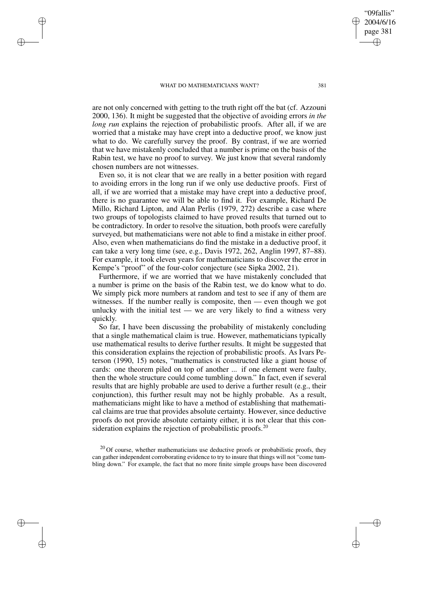✐

✐

✐

✐

are not only concerned with getting to the truth right off the bat (cf. Azzouni 2000, 136). It might be suggested that the objective of avoiding errors *in the long run* explains the rejection of probabilistic proofs. After all, if we are worried that a mistake may have crept into a deductive proof, we know just what to do. We carefully survey the proof. By contrast, if we are worried that we have mistakenly concluded that a number is prime on the basis of the Rabin test, we have no proof to survey. We just know that several randomly chosen numbers are not witnesses.

Even so, it is not clear that we are really in a better position with regard to avoiding errors in the long run if we only use deductive proofs. First of all, if we are worried that a mistake may have crept into a deductive proof, there is no guarantee we will be able to find it. For example, Richard De Millo, Richard Lipton, and Alan Perlis (1979, 272) describe a case where two groups of topologists claimed to have proved results that turned out to be contradictory. In order to resolve the situation, both proofs were carefully surveyed, but mathematicians were not able to find a mistake in either proof. Also, even when mathematicians do find the mistake in a deductive proof, it can take a very long time (see, e.g., Davis 1972, 262, Anglin 1997, 87–88). For example, it took eleven years for mathematicians to discover the error in Kempe's "proof" of the four-color conjecture (see Sipka 2002, 21).

Furthermore, if we are worried that we have mistakenly concluded that a number is prime on the basis of the Rabin test, we do know what to do. We simply pick more numbers at random and test to see if any of them are witnesses. If the number really is composite, then — even though we got unlucky with the initial test  $-$  we are very likely to find a witness very quickly.

So far, I have been discussing the probability of mistakenly concluding that a single mathematical claim is true. However, mathematicians typically use mathematical results to derive further results. It might be suggested that this consideration explains the rejection of probabilistic proofs. As Ivars Peterson (1990, 15) notes, "mathematics is constructed like a giant house of cards: one theorem piled on top of another ... if one element were faulty, then the whole structure could come tumbling down." In fact, even if several results that are highly probable are used to derive a further result (e.g., their conjunction), this further result may not be highly probable. As a result, mathematicians might like to have a method of establishing that mathematical claims are true that provides absolute certainty. However, since deductive proofs do not provide absolute certainty either, it is not clear that this consideration explains the rejection of probabilistic proofs.<sup>20</sup>

 $20$  Of course, whether mathematicians use deductive proofs or probabilistic proofs, they can gather independent corroborating evidence to try to insure that things will not "come tumbling down." For example, the fact that no more finite simple groups have been discovered

"09fallis" 2004/6/16 page 381

✐

✐

✐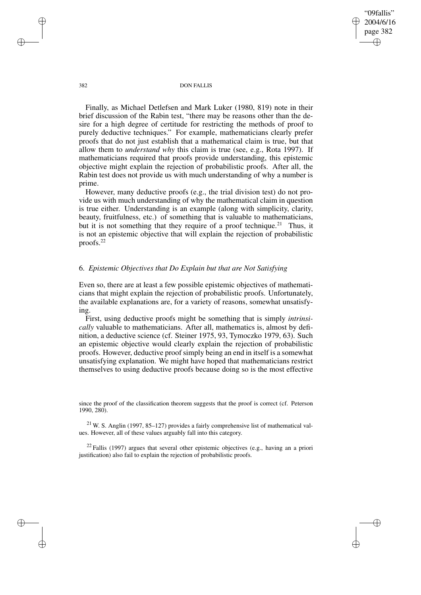"09fallis" 2004/6/16 page 382 ✐ ✐

✐

✐

#### 382 DON FALLIS

Finally, as Michael Detlefsen and Mark Luker (1980, 819) note in their brief discussion of the Rabin test, "there may be reasons other than the desire for a high degree of certitude for restricting the methods of proof to purely deductive techniques." For example, mathematicians clearly prefer proofs that do not just establish that a mathematical claim is true, but that allow them to *understand why* this claim is true (see, e.g., Rota 1997). If mathematicians required that proofs provide understanding, this epistemic objective might explain the rejection of probabilistic proofs. After all, the Rabin test does not provide us with much understanding of why a number is prime.

However, many deductive proofs (e.g., the trial division test) do not provide us with much understanding of why the mathematical claim in question is true either. Understanding is an example (along with simplicity, clarity, beauty, fruitfulness, etc.) of something that is valuable to mathematicians, but it is not something that they require of a proof technique.<sup>21</sup> Thus, it is not an epistemic objective that will explain the rejection of probabilistic proofs.<sup>22</sup>

# 6. *Epistemic Objectives that Do Explain but that are Not Satisfying*

Even so, there are at least a few possible epistemic objectives of mathematicians that might explain the rejection of probabilistic proofs. Unfortunately, the available explanations are, for a variety of reasons, somewhat unsatisfying.

First, using deductive proofs might be something that is simply *intrinsically* valuable to mathematicians. After all, mathematics is, almost by definition, a deductive science (cf. Steiner 1975, 93, Tymoczko 1979, 63). Such an epistemic objective would clearly explain the rejection of probabilistic proofs. However, deductive proof simply being an end in itself is a somewhat unsatisfying explanation. We might have hoped that mathematicians restrict themselves to using deductive proofs because doing so is the most effective

since the proof of the classification theorem suggests that the proof is correct (cf. Peterson 1990, 280).

 $21$  W. S. Anglin (1997, 85-127) provides a fairly comprehensive list of mathematical values. However, all of these values arguably fall into this category.

 $22$  Fallis (1997) argues that several other epistemic objectives (e.g., having an a priori justification) also fail to explain the rejection of probabilistic proofs.

✐

✐

✐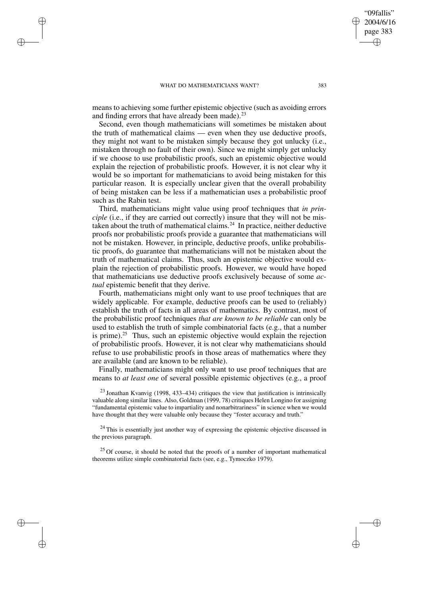✐

✐

✐

✐

means to achieving some further epistemic objective (such as avoiding errors and finding errors that have already been made). $^{23}$ 

Second, even though mathematicians will sometimes be mistaken about the truth of mathematical claims — even when they use deductive proofs, they might not want to be mistaken simply because they got unlucky (i.e., mistaken through no fault of their own). Since we might simply get unlucky if we choose to use probabilistic proofs, such an epistemic objective would explain the rejection of probabilistic proofs. However, it is not clear why it would be so important for mathematicians to avoid being mistaken for this particular reason. It is especially unclear given that the overall probability of being mistaken can be less if a mathematician uses a probabilistic proof such as the Rabin test.

Third, mathematicians might value using proof techniques that *in principle* (i.e., if they are carried out correctly) insure that they will not be mistaken about the truth of mathematical claims.<sup>24</sup> In practice, neither deductive proofs nor probabilistic proofs provide a guarantee that mathematicians will not be mistaken. However, in principle, deductive proofs, unlike probabilistic proofs, do guarantee that mathematicians will not be mistaken about the truth of mathematical claims. Thus, such an epistemic objective would explain the rejection of probabilistic proofs. However, we would have hoped that mathematicians use deductive proofs exclusively because of some *actual* epistemic benefit that they derive.

Fourth, mathematicians might only want to use proof techniques that are widely applicable. For example, deductive proofs can be used to (reliably) establish the truth of facts in all areas of mathematics. By contrast, most of the probabilistic proof techniques *that are known to be reliable* can only be used to establish the truth of simple combinatorial facts (e.g., that a number is prime).<sup>25</sup> Thus, such an epistemic objective would explain the rejection of probabilistic proofs. However, it is not clear why mathematicians should refuse to use probabilistic proofs in those areas of mathematics where they are available (and are known to be reliable).

Finally, mathematicians might only want to use proof techniques that are means to *at least one* of several possible epistemic objectives (e.g., a proof

 $23$  Jonathan Kvanvig (1998, 433–434) critiques the view that justification is intrinsically valuable along similar lines. Also, Goldman (1999, 78) critiques Helen Longino for assigning "fundamental epistemic value to impartiality and nonarbitrariness" in science when we would have thought that they were valuable only because they "foster accuracy and truth."

<sup>24</sup> This is essentially just another way of expressing the epistemic objective discussed in the previous paragraph.

 $25$  Of course, it should be noted that the proofs of a number of important mathematical theorems utilize simple combinatorial facts (see, e.g., Tymoczko 1979).

"09fallis" 2004/6/16 page 383

✐

✐

✐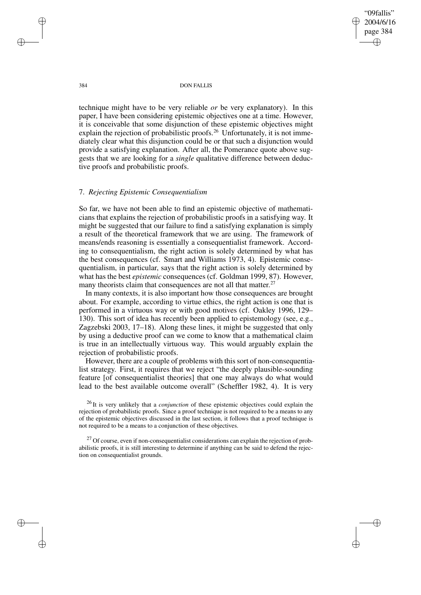"09fallis" 2004/6/16 page 384 ✐ ✐

✐

✐

384 DON FALLIS

technique might have to be very reliable *or* be very explanatory). In this paper, I have been considering epistemic objectives one at a time. However, it is conceivable that some disjunction of these epistemic objectives might explain the rejection of probabilistic proofs.<sup>26</sup> Unfortunately, it is not immediately clear what this disjunction could be or that such a disjunction would provide a satisfying explanation. After all, the Pomerance quote above suggests that we are looking for a *single* qualitative difference between deductive proofs and probabilistic proofs.

## 7. *Rejecting Epistemic Consequentialism*

So far, we have not been able to find an epistemic objective of mathematicians that explains the rejection of probabilistic proofs in a satisfying way. It might be suggested that our failure to find a satisfying explanation is simply a result of the theoretical framework that we are using. The framework of means/ends reasoning is essentially a consequentialist framework. According to consequentialism, the right action is solely determined by what has the best consequences (cf. Smart and Williams 1973, 4). Epistemic consequentialism, in particular, says that the right action is solely determined by what has the best *epistemic* consequences (cf. Goldman 1999, 87). However, many theorists claim that consequences are not all that matter.<sup>27</sup>

In many contexts, it is also important how those consequences are brought about. For example, according to virtue ethics, the right action is one that is performed in a virtuous way or with good motives (cf. Oakley 1996, 129– 130). This sort of idea has recently been applied to epistemology (see, e.g., Zagzebski 2003, 17–18). Along these lines, it might be suggested that only by using a deductive proof can we come to know that a mathematical claim is true in an intellectually virtuous way. This would arguably explain the rejection of probabilistic proofs.

However, there are a couple of problems with this sort of non-consequentialist strategy. First, it requires that we reject "the deeply plausible-sounding feature [of consequentialist theories] that one may always do what would lead to the best available outcome overall" (Scheffler 1982, 4). It is very

<sup>26</sup> It is very unlikely that a *conjunction* of these epistemic objectives could explain the rejection of probabilistic proofs. Since a proof technique is not required to be a means to any of the epistemic objectives discussed in the last section, it follows that a proof technique is not required to be a means to a conjunction of these objectives.

 $27$  Of course, even if non-consequentialist considerations can explain the rejection of probabilistic proofs, it is still interesting to determine if anything can be said to defend the rejection on consequentialist grounds.

✐

✐

✐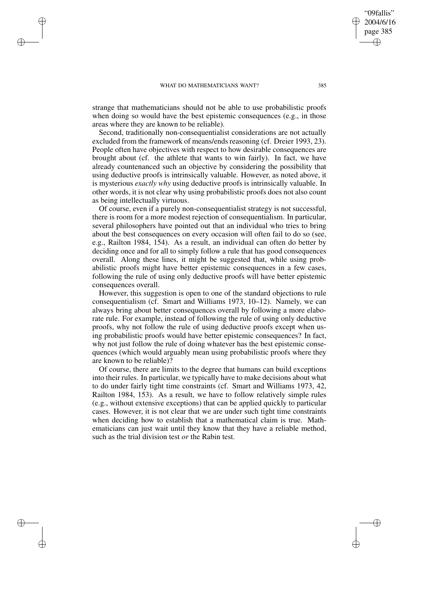✐

✐

✐

✐

strange that mathematicians should not be able to use probabilistic proofs when doing so would have the best epistemic consequences (e.g., in those areas where they are known to be reliable).

Second, traditionally non-consequentialist considerations are not actually excluded from the framework of means/ends reasoning (cf. Dreier 1993, 23). People often have objectives with respect to how desirable consequences are brought about (cf. the athlete that wants to win fairly). In fact, we have already countenanced such an objective by considering the possibility that using deductive proofs is intrinsically valuable. However, as noted above, it is mysterious *exactly why* using deductive proofs is intrinsically valuable. In other words, it is not clear why using probabilistic proofs does not also count as being intellectually virtuous.

Of course, even if a purely non-consequentialist strategy is not successful, there is room for a more modest rejection of consequentialism. In particular, several philosophers have pointed out that an individual who tries to bring about the best consequences on every occasion will often fail to do so (see, e.g., Railton 1984, 154). As a result, an individual can often do better by deciding once and for all to simply follow a rule that has good consequences overall. Along these lines, it might be suggested that, while using probabilistic proofs might have better epistemic consequences in a few cases, following the rule of using only deductive proofs will have better epistemic consequences overall.

However, this suggestion is open to one of the standard objections to rule consequentialism (cf. Smart and Williams 1973, 10–12). Namely, we can always bring about better consequences overall by following a more elaborate rule. For example, instead of following the rule of using only deductive proofs, why not follow the rule of using deductive proofs except when using probabilistic proofs would have better epistemic consequences? In fact, why not just follow the rule of doing whatever has the best epistemic consequences (which would arguably mean using probabilistic proofs where they are known to be reliable)?

Of course, there are limits to the degree that humans can build exceptions into their rules. In particular, we typically have to make decisions about what to do under fairly tight time constraints (cf. Smart and Williams 1973, 42, Railton 1984, 153). As a result, we have to follow relatively simple rules (e.g., without extensive exceptions) that can be applied quickly to particular cases. However, it is not clear that we are under such tight time constraints when deciding how to establish that a mathematical claim is true. Mathematicians can just wait until they know that they have a reliable method, such as the trial division test *or* the Rabin test.

"09fallis" 2004/6/16 page 385

✐

✐

✐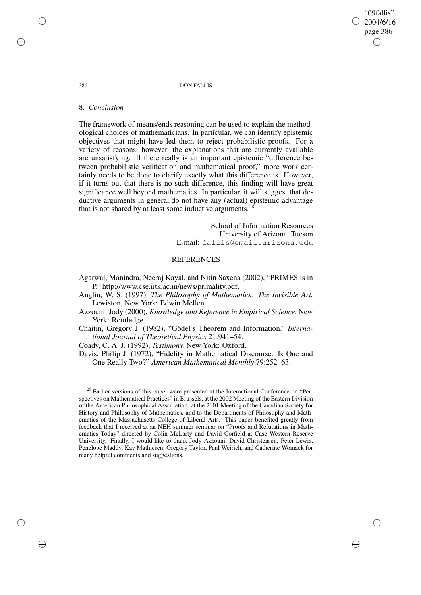"09fallis" 2004/6/16 page 386 ✐ ✐

✐

✐

## 386 DON FALLIS

## 8. *Conclusion*

The framework of means/ends reasoning can be used to explain the methodological choices of mathematicians. In particular, we can identify epistemic objectives that might have led them to reject probabilistic proofs. For a variety of reasons, however, the explanations that are currently available are unsatisfying. If there really is an important epistemic "difference between probabilistic verification and mathematical proof," more work certainly needs to be done to clarify exactly what this difference is. However, if it turns out that there is no such difference, this finding will have great significance well beyond mathematics. In particular, it will suggest that deductive arguments in general do not have any (actual) epistemic advantage that is not shared by at least some inductive arguments.<sup>28</sup>

> School of Information Resources University of Arizona, Tucson E-mail: fallis@email.arizona.edu

# REFERENCES

Agarwal, Manindra, Neeraj Kayal, and Nitin Saxena (2002), "PRIMES is in P." http://www.cse.iitk.ac.in/news/primality.pdf.

Anglin, W. S. (1997), *The Philosophy of Mathematics: The Invisible Art.* Lewiston, New York: Edwin Mellen.

Azzouni, Jody (2000), *Knowledge and Reference in Empirical Science.* New York: Routledge.

Chaitin, Gregory J. (1982), "Gödel's Theorem and Information." *International Journal of Theoretical Physics* 21:941–54.

Coady, C. A. J. (1992), *Testimony.* New York: Oxford.

Davis, Philip J. (1972), "Fidelity in Mathematical Discourse: Is One and One Really Two?" *American Mathematical Monthly* 79:252–63.

<sup>28</sup> Earlier versions of this paper were presented at the International Conference on "Perspectives on Mathematical Practices" in Brussels, at the 2002 Meeting of the Eastern Division of the American Philosophical Association, at the 2001 Meeting of the Canadian Society for History and Philosophy of Mathematics, and to the Departments of Philosophy and Mathematics of the Massachusetts College of Liberal Arts. This paper benefited greatly from feedback that I received at an NEH summer seminar on "Proofs and Refutations in Mathematics Today" directed by Colin McLarty and David Corfield at Case Western Reserve University. Finally, I would like to thank Jody Azzouni, David Christensen, Peter Lewis, Penelope Maddy, Kay Mathiesen, Gregory Taylor, Paul Weirich, and Catherine Womack for many helpful comments and suggestions.

✐

✐

✐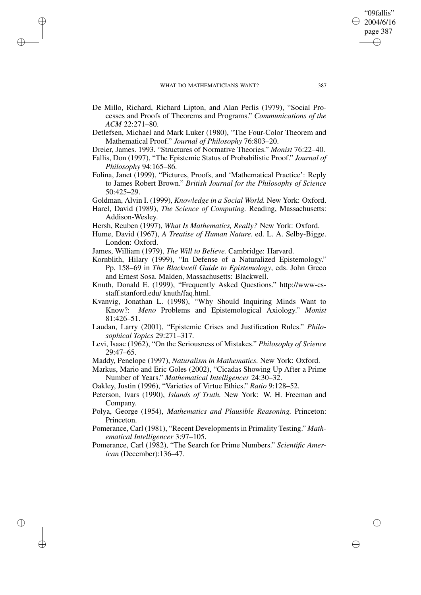✐

✐

✐

✐

- De Millo, Richard, Richard Lipton, and Alan Perlis (1979), "Social Processes and Proofs of Theorems and Programs." *Communications of the ACM* 22:271–80.
- Detlefsen, Michael and Mark Luker (1980), "The Four-Color Theorem and Mathematical Proof." *Journal of Philosophy* 76:803–20.
- Dreier, James. 1993. "Structures of Normative Theories." *Monist* 76:22–40.
- Fallis, Don (1997), "The Epistemic Status of Probabilistic Proof." *Journal of Philosophy* 94:165–86.
- Folina, Janet (1999), "Pictures, Proofs, and 'Mathematical Practice': Reply to James Robert Brown." *British Journal for the Philosophy of Science* 50:425–29.
- Goldman, Alvin I. (1999), *Knowledge in a Social World.* New York: Oxford.
- Harel, David (1989), *The Science of Computing.* Reading, Massachusetts: Addison-Wesley.
- Hersh, Reuben (1997), *What Is Mathematics, Really?* New York: Oxford.
- Hume, David (1967), *A Treatise of Human Nature.* ed. L. A. Selby-Bigge. London: Oxford.
- James, William (1979), *The Will to Believe.* Cambridge: Harvard.
- Kornblith, Hilary (1999), "In Defense of a Naturalized Epistemology." Pp. 158–69 in *The Blackwell Guide to Epistemology*, eds. John Greco and Ernest Sosa. Malden, Massachusetts: Blackwell.
- Knuth, Donald E. (1999), "Frequently Asked Questions." http://www-csstaff.stanford.edu/ knuth/faq.html.
- Kvanvig, Jonathan L. (1998), "Why Should Inquiring Minds Want to Know?: *Meno* Problems and Epistemological Axiology." *Monist* 81:426–51.
- Laudan, Larry (2001), "Epistemic Crises and Justification Rules." *Philosophical Topics* 29:271–317.
- Levi, Isaac (1962), "On the Seriousness of Mistakes." *Philosophy of Science* 29:47–65.
- Maddy, Penelope (1997), *Naturalism in Mathematics.* New York: Oxford.
- Markus, Mario and Eric Goles (2002), "Cicadas Showing Up After a Prime Number of Years." *Mathematical Intelligencer* 24:30–32.
- Oakley, Justin (1996), "Varieties of Virtue Ethics." *Ratio* 9:128–52.
- Peterson, Ivars (1990), *Islands of Truth.* New York: W. H. Freeman and Company.
- Polya, George (1954), *Mathematics and Plausible Reasoning.* Princeton: Princeton.
- Pomerance, Carl (1981), "Recent Developments in Primality Testing." *Mathematical Intelligencer* 3:97–105.
- Pomerance, Carl (1982), "The Search for Prime Numbers." *Scientific American* (December):136–47.

"09fallis" 2004/6/16 page 387

✐

✐

✐